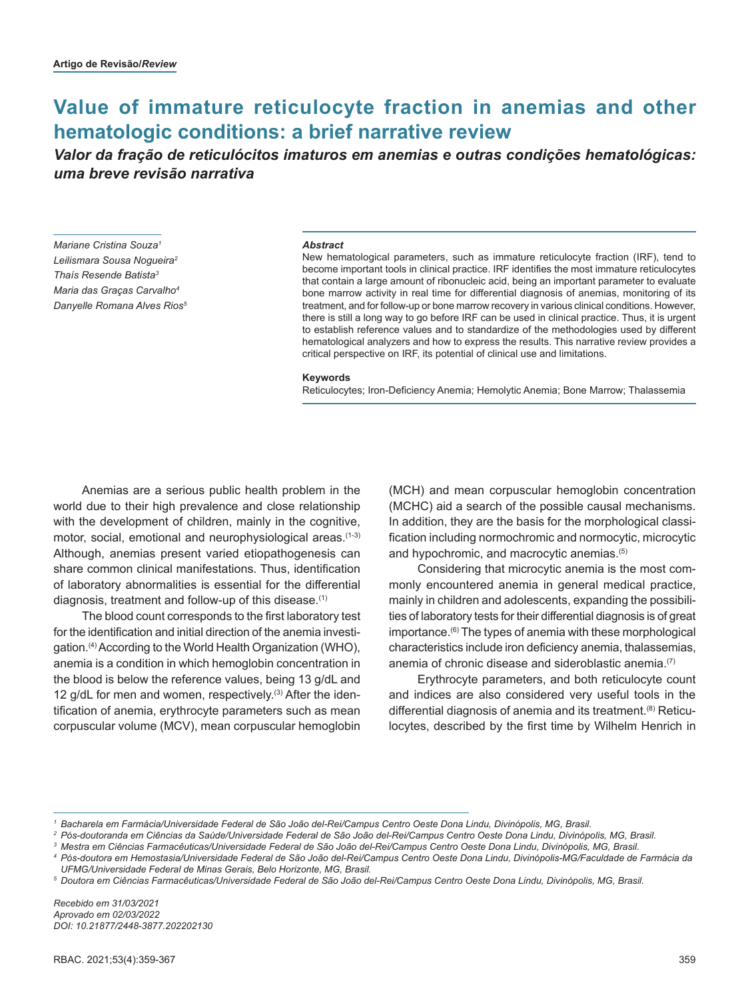# **Value of immature reticulocyte fraction in anemias and other hematologic conditions: a brief narrative review**

*Valor da fração de reticulócitos imaturos em anemias e outras condições hematológicas: uma breve revisão narrativa*

*Mariane Cristina Souza1 Leilismara Sousa Nogueira2 Thaís Resende Batista3 Maria das Graças Carvalho4 Danyelle Romana Alves Rios5*

#### *Abstract*

New hematological parameters, such as immature reticulocyte fraction (IRF), tend to become important tools in clinical practice. IRF identifies the most immature reticulocytes that contain a large amount of ribonucleic acid, being an important parameter to evaluate bone marrow activity in real time for differential diagnosis of anemias, monitoring of its treatment, and for follow-up or bone marrow recovery in various clinical conditions. However, there is still a long way to go before IRF can be used in clinical practice. Thus, it is urgent to establish reference values and to standardize of the methodologies used by different hematological analyzers and how to express the results. This narrative review provides a critical perspective on IRF, its potential of clinical use and limitations.

#### **Keywords**

Reticulocytes; Iron-Deficiency Anemia; Hemolytic Anemia; Bone Marrow; Thalassemia

Anemias are a serious public health problem in the world due to their high prevalence and close relationship with the development of children, mainly in the cognitive, motor, social, emotional and neurophysiological areas.<sup>(1-3)</sup> Although, anemias present varied etiopathogenesis can share common clinical manifestations. Thus, identification of laboratory abnormalities is essential for the differential diagnosis, treatment and follow-up of this disease.<sup>(1)</sup>

The blood count corresponds to the first laboratory test for the identification and initial direction of the anemia investigation.(4) According to the World Health Organization (WHO), anemia is a condition in which hemoglobin concentration in the blood is below the reference values, being 13 g/dL and 12 g/dL for men and women, respectively.<sup>(3)</sup> After the identification of anemia, erythrocyte parameters such as mean corpuscular volume (MCV), mean corpuscular hemoglobin

(MCH) and mean corpuscular hemoglobin concentration (MCHC) aid a search of the possible causal mechanisms. In addition, they are the basis for the morphological classification including normochromic and normocytic, microcytic and hypochromic, and macrocytic anemias.(5)

Considering that microcytic anemia is the most commonly encountered anemia in general medical practice, mainly in children and adolescents, expanding the possibilities of laboratory tests for their differential diagnosis is of great importance.(6) The types of anemia with these morphological characteristics include iron deficiency anemia, thalassemias, anemia of chronic disease and sideroblastic anemia.(7)

Erythrocyte parameters, and both reticulocyte count and indices are also considered very useful tools in the differential diagnosis of anemia and its treatment.<sup>(8)</sup> Reticulocytes, described by the first time by Wilhelm Henrich in

*Recebido em 31/03/2021 Aprovado em 02/03/2022 DOI: 10.21877/2448-3877.202202130*

*<sup>1</sup> Bacharela em Farmácia/Universidade Federal de São João del-Rei/Campus Centro Oeste Dona Lindu, Divinópolis, MG, Brasil.*

*<sup>2</sup> Pós-doutoranda em Ciências da Saúde/Universidade Federal de São João del-Rei/Campus Centro Oeste Dona Lindu, Divinópolis, MG, Brasil.*

*<sup>3</sup> Mestra em Ciências Farmacêuticas/Universidade Federal de São João del-Rei/Campus Centro Oeste Dona Lindu, Divinópolis, MG, Brasil.*

*<sup>4</sup> Pós-doutora em Hemostasia/Universidade Federal de São João del-Rei/Campus Centro Oeste Dona Lindu, Divinópolis-MG/Faculdade de Farmácia da UFMG/Universidade Federal de Minas Gerais, Belo Horizonte, MG, Brasil.*

*<sup>5</sup> Doutora em Ciências Farmacêuticas/Universidade Federal de São João del-Rei/Campus Centro Oeste Dona Lindu, Divinópolis, MG, Brasil.*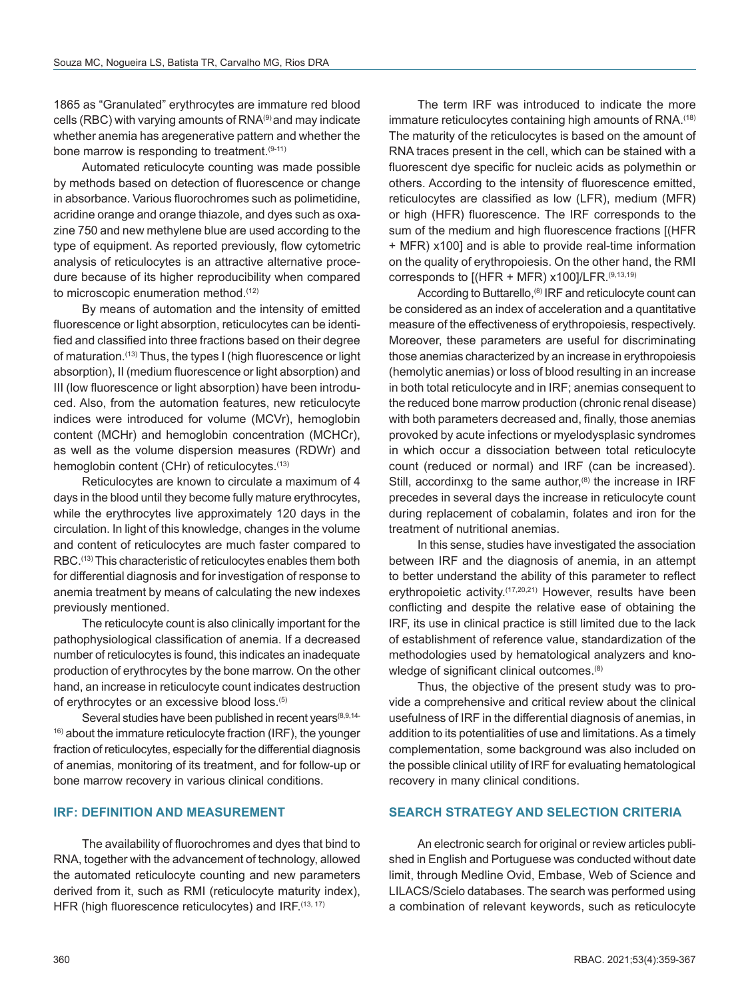1865 as "Granulated" erythrocytes are immature red blood cells (RBC) with varying amounts of RNA(9) and may indicate whether anemia has aregenerative pattern and whether the bone marrow is responding to treatment.<sup>(9-11)</sup>

Automated reticulocyte counting was made possible by methods based on detection of fluorescence or change in absorbance. Various fluorochromes such as polimetidine, acridine orange and orange thiazole, and dyes such as oxazine 750 and new methylene blue are used according to the type of equipment. As reported previously, flow cytometric analysis of reticulocytes is an attractive alternative procedure because of its higher reproducibility when compared to microscopic enumeration method.(12)

By means of automation and the intensity of emitted fluorescence or light absorption, reticulocytes can be identified and classified into three fractions based on their degree of maturation.(13) Thus, the types I (high fluorescence or light absorption), II (medium fluorescence or light absorption) and III (low fluorescence or light absorption) have been introduced. Also, from the automation features, new reticulocyte indices were introduced for volume (MCVr), hemoglobin content (MCHr) and hemoglobin concentration (MCHCr), as well as the volume dispersion measures (RDWr) and hemoglobin content (CHr) of reticulocytes.<sup>(13)</sup>

Reticulocytes are known to circulate a maximum of 4 days in the blood until they become fully mature erythrocytes, while the erythrocytes live approximately 120 days in the circulation. In light of this knowledge, changes in the volume and content of reticulocytes are much faster compared to RBC.(13) This characteristic of reticulocytes enables them both for differential diagnosis and for investigation of response to anemia treatment by means of calculating the new indexes previously mentioned.

The reticulocyte count is also clinically important for the pathophysiological classification of anemia. If a decreased number of reticulocytes is found, this indicates an inadequate production of erythrocytes by the bone marrow. On the other hand, an increase in reticulocyte count indicates destruction of erythrocytes or an excessive blood loss.(5)

Several studies have been published in recent years<sup>(8,9,14-</sup> 16) about the immature reticulocyte fraction (IRF), the younger fraction of reticulocytes, especially for the differential diagnosis of anemias, monitoring of its treatment, and for follow-up or bone marrow recovery in various clinical conditions.

### **IRF: DEFINITION AND MEASUREMENT**

The availability of fluorochromes and dyes that bind to RNA, together with the advancement of technology, allowed the automated reticulocyte counting and new parameters derived from it, such as RMI (reticulocyte maturity index), HFR (high fluorescence reticulocytes) and IRF.(13, 17)

The term IRF was introduced to indicate the more immature reticulocytes containing high amounts of RNA.<sup>(18)</sup> The maturity of the reticulocytes is based on the amount of RNA traces present in the cell, which can be stained with a fluorescent dye specific for nucleic acids as polymethin or others. According to the intensity of fluorescence emitted, reticulocytes are classified as low (LFR), medium (MFR) or high (HFR) fluorescence. The IRF corresponds to the sum of the medium and high fluorescence fractions [(HFR + MFR) x100] and is able to provide real-time information on the quality of erythropoiesis. On the other hand, the RMI corresponds to  $[(HFR + MFR) x100]/LFR$ .  $(9,13,19)$ 

According to Buttarello,<sup>(8)</sup> IRF and reticulocyte count can be considered as an index of acceleration and a quantitative measure of the effectiveness of erythropoiesis, respectively. Moreover, these parameters are useful for discriminating those anemias characterized by an increase in erythropoiesis (hemolytic anemias) or loss of blood resulting in an increase in both total reticulocyte and in IRF; anemias consequent to the reduced bone marrow production (chronic renal disease) with both parameters decreased and, finally, those anemias provoked by acute infections or myelodysplasic syndromes in which occur a dissociation between total reticulocyte count (reduced or normal) and IRF (can be increased). Still, accordinxg to the same author, $(8)$  the increase in IRF precedes in several days the increase in reticulocyte count during replacement of cobalamin, folates and iron for the treatment of nutritional anemias.

In this sense, studies have investigated the association between IRF and the diagnosis of anemia, in an attempt to better understand the ability of this parameter to reflect erythropoietic activity.<sup>(17,20,21)</sup> However, results have been conflicting and despite the relative ease of obtaining the IRF, its use in clinical practice is still limited due to the lack of establishment of reference value, standardization of the methodologies used by hematological analyzers and knowledge of significant clinical outcomes.<sup>(8)</sup>

Thus, the objective of the present study was to provide a comprehensive and critical review about the clinical usefulness of IRF in the differential diagnosis of anemias, in addition to its potentialities of use and limitations. As a timely complementation, some background was also included on the possible clinical utility of IRF for evaluating hematological recovery in many clinical conditions.

### **SEARCH STRATEGY AND SELECTION CRITERIA**

An electronic search for original or review articles published in English and Portuguese was conducted without date limit, through Medline Ovid, Embase, Web of Science and LILACS/Scielo databases. The search was performed using a combination of relevant keywords, such as reticulocyte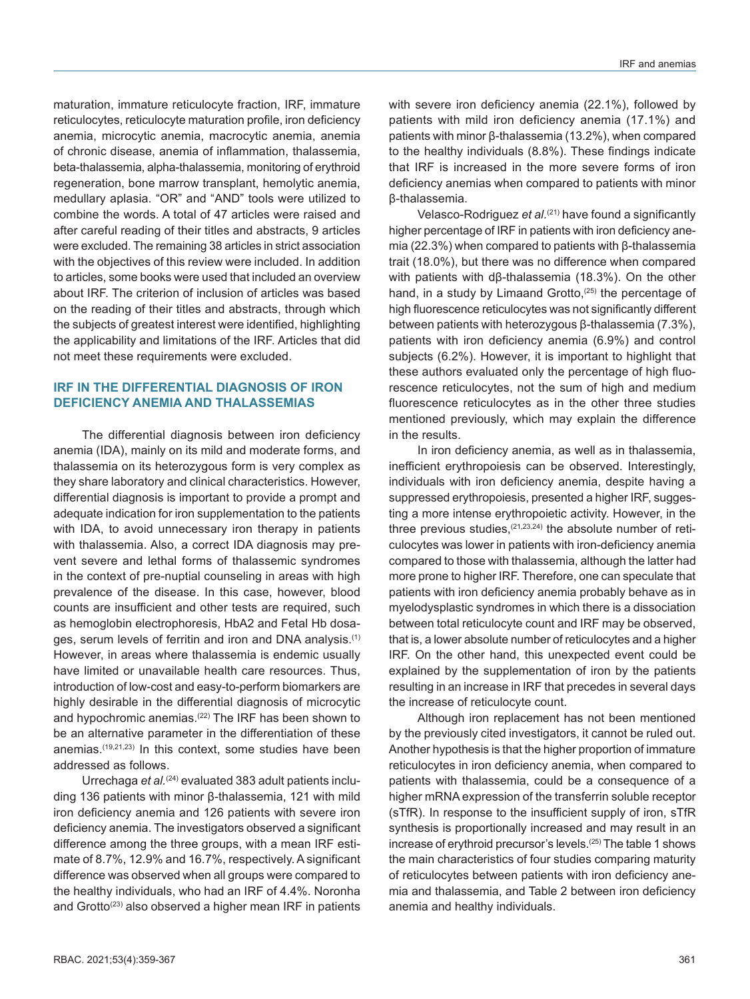maturation, immature reticulocyte fraction, IRF, immature reticulocytes, reticulocyte maturation profile, iron deficiency anemia, microcytic anemia, macrocytic anemia, anemia of chronic disease, anemia of inflammation, thalassemia, beta-thalassemia, alpha-thalassemia, monitoring of erythroid regeneration, bone marrow transplant, hemolytic anemia, medullary aplasia. "OR" and "AND" tools were utilized to combine the words. A total of 47 articles were raised and after careful reading of their titles and abstracts, 9 articles were excluded. The remaining 38 articles in strict association with the objectives of this review were included. In addition to articles, some books were used that included an overview about IRF. The criterion of inclusion of articles was based on the reading of their titles and abstracts, through which the subjects of greatest interest were identified, highlighting the applicability and limitations of the IRF. Articles that did not meet these requirements were excluded.

# **IRF IN THE DIFFERENTIAL DIAGNOSIS OF IRON DEFICIENCY ANEMIA AND THALASSEMIAS**

The differential diagnosis between iron deficiency anemia (IDA), mainly on its mild and moderate forms, and thalassemia on its heterozygous form is very complex as they share laboratory and clinical characteristics. However, differential diagnosis is important to provide a prompt and adequate indication for iron supplementation to the patients with IDA, to avoid unnecessary iron therapy in patients with thalassemia. Also, a correct IDA diagnosis may prevent severe and lethal forms of thalassemic syndromes in the context of pre-nuptial counseling in areas with high prevalence of the disease. In this case, however, blood counts are insufficient and other tests are required, such as hemoglobin electrophoresis, HbA2 and Fetal Hb dosages, serum levels of ferritin and iron and DNA analysis.(1) However, in areas where thalassemia is endemic usually have limited or unavailable health care resources. Thus, introduction of low-cost and easy-to-perform biomarkers are highly desirable in the differential diagnosis of microcytic and hypochromic anemias.<sup>(22)</sup> The IRF has been shown to be an alternative parameter in the differentiation of these anemias.(19,21,23) In this context, some studies have been addressed as follows.

Urrechaga *et al.*(24) evaluated 383 adult patients including 136 patients with minor β-thalassemia, 121 with mild iron deficiency anemia and 126 patients with severe iron deficiency anemia. The investigators observed a significant difference among the three groups, with a mean IRF estimate of 8.7%, 12.9% and 16.7%, respectively. A significant difference was observed when all groups were compared to the healthy individuals, who had an IRF of 4.4%. Noronha and Grotto<sup>(23)</sup> also observed a higher mean IRF in patients with severe iron deficiency anemia (22.1%), followed by patients with mild iron deficiency anemia (17.1%) and patients with minor β-thalassemia (13.2%), when compared to the healthy individuals (8.8%). These findings indicate that IRF is increased in the more severe forms of iron deficiency anemias when compared to patients with minor β-thalassemia.

Velasco-Rodriguez *et al.*(21) have found a significantly higher percentage of IRF in patients with iron deficiency anemia (22.3%) when compared to patients with β-thalassemia trait (18.0%), but there was no difference when compared with patients with dβ-thalassemia (18.3%). On the other hand, in a study by Limaand Grotto,<sup>(25)</sup> the percentage of high fluorescence reticulocytes was not significantly different between patients with heterozygous β-thalassemia (7.3%), patients with iron deficiency anemia (6.9%) and control subjects (6.2%). However, it is important to highlight that these authors evaluated only the percentage of high fluorescence reticulocytes, not the sum of high and medium fluorescence reticulocytes as in the other three studies mentioned previously, which may explain the difference in the results.

In iron deficiency anemia, as well as in thalassemia, inefficient erythropoiesis can be observed. Interestingly, individuals with iron deficiency anemia, despite having a suppressed erythropoiesis, presented a higher IRF, suggesting a more intense erythropoietic activity. However, in the three previous studies,<sup>(21,23,24)</sup> the absolute number of reticulocytes was lower in patients with iron-deficiency anemia compared to those with thalassemia, although the latter had more prone to higher IRF. Therefore, one can speculate that patients with iron deficiency anemia probably behave as in myelodysplastic syndromes in which there is a dissociation between total reticulocyte count and IRF may be observed, that is, a lower absolute number of reticulocytes and a higher IRF. On the other hand, this unexpected event could be explained by the supplementation of iron by the patients resulting in an increase in IRF that precedes in several days the increase of reticulocyte count.

Although iron replacement has not been mentioned by the previously cited investigators, it cannot be ruled out. Another hypothesis is that the higher proportion of immature reticulocytes in iron deficiency anemia, when compared to patients with thalassemia, could be a consequence of a higher mRNA expression of the transferrin soluble receptor (sTfR). In response to the insufficient supply of iron, sTfR synthesis is proportionally increased and may result in an increase of erythroid precursor's levels.(25) The table 1 shows the main characteristics of four studies comparing maturity of reticulocytes between patients with iron deficiency anemia and thalassemia, and Table 2 between iron deficiency anemia and healthy individuals.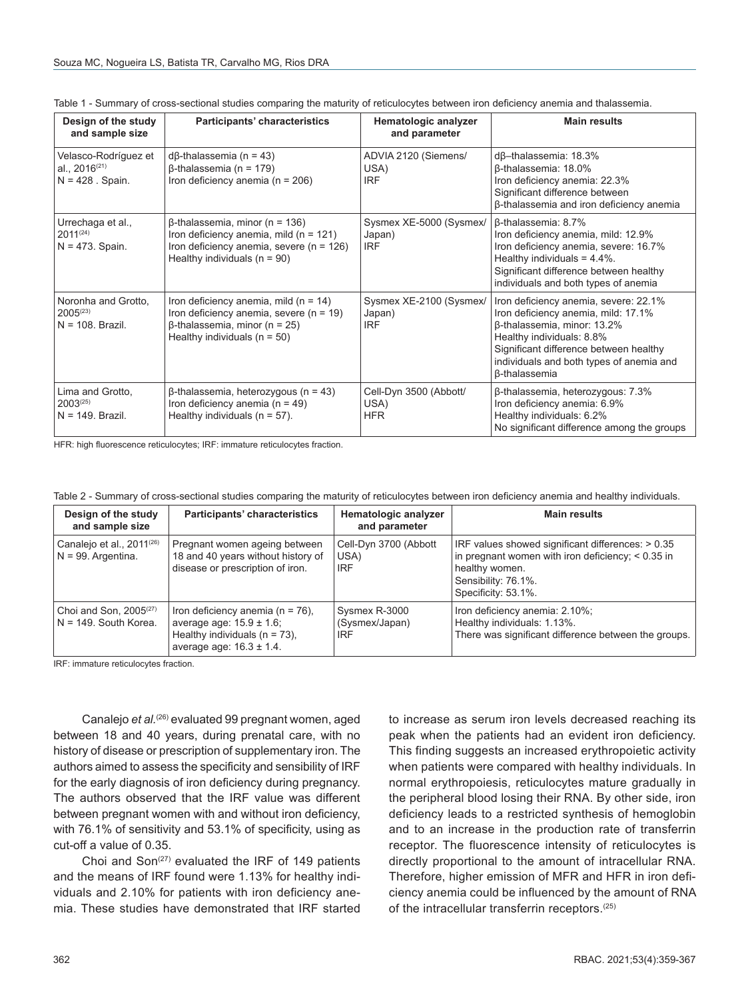| Design of the study<br>and sample size                           | Participants' characteristics                                                                                                                                         | Hematologic analyzer<br>and parameter           | <b>Main results</b>                                                                                                                                                                                                                                    |
|------------------------------------------------------------------|-----------------------------------------------------------------------------------------------------------------------------------------------------------------------|-------------------------------------------------|--------------------------------------------------------------------------------------------------------------------------------------------------------------------------------------------------------------------------------------------------------|
| Velasco-Rodríguez et<br>al., $2016^{(21)}$<br>$N = 428$ . Spain. | $d\beta$ -thalassemia (n = 43)<br>$\beta$ -thalassemia (n = 179)<br>Iron deficiency anemia ( $n = 206$ )                                                              | ADVIA 2120 (Siemens/<br>USA)<br><b>IRF</b>      | $dβ$ -thalassemia: 18.3%<br>$\beta$ -thalassemia: 18.0%<br>Iron deficiency anemia: 22.3%<br>Significant difference between<br><b>B-thalassemia and iron deficiency anemia</b>                                                                          |
| Urrechaga et al.,<br>$2011^{(24)}$<br>$N = 473$ . Spain.         | $\beta$ -thalassemia, minor (n = 136)<br>Iron deficiency anemia, mild ( $n = 121$ )<br>Iron deficiency anemia, severe ( $n = 126$ )<br>Healthy individuals $(n = 90)$ | Sysmex XE-5000 (Sysmex/<br>Japan)<br><b>IRF</b> | B-thalassemia: 8.7%<br>Iron deficiency anemia, mild: 12.9%<br>Iron deficiency anemia, severe: 16.7%<br>Healthy individuals $= 4.4\%$ .<br>Significant difference between healthy<br>individuals and both types of anemia                               |
| Noronha and Grotto,<br>$2005^{(23)}$<br>$N = 108$ . Brazil.      | Iron deficiency anemia, mild $(n = 14)$<br>Iron deficiency anemia, severe $(n = 19)$<br>$\beta$ -thalassemia, minor (n = 25)<br>Healthy individuals $(n = 50)$        | Sysmex XE-2100 (Sysmex/<br>Japan)<br><b>IRF</b> | Iron deficiency anemia, severe: 22.1%<br>Iron deficiency anemia, mild: 17.1%<br>β-thalassemia, minor: 13.2%<br>Healthy individuals: 8.8%<br>Significant difference between healthy<br>individuals and both types of anemia and<br><b>ß-thalassemia</b> |
| Lima and Grotto,<br>$2003^{(25)}$<br>$N = 149$ . Brazil.         | $\beta$ -thalassemia, heterozygous (n = 43)<br>Iron deficiency anemia ( $n = 49$ )<br>Healthy individuals $(n = 57)$ .                                                | Cell-Dyn 3500 (Abbott/<br>USA)<br><b>HFR</b>    | β-thalassemia, heterozygous: 7.3%<br>Iron deficiency anemia: 6.9%<br>Healthy individuals: 6.2%<br>No significant difference among the groups                                                                                                           |

Table 1 - Summary of cross-sectional studies comparing the maturity of reticulocytes between iron deficiency anemia and thalassemia.

HFR: high fluorescence reticulocytes; IRF: immature reticulocytes fraction.

Table 2 - Summary of cross-sectional studies comparing the maturity of reticulocytes between iron deficiency anemia and healthy individuals.

| Design of the study<br>and sample size                         | Participants' characteristics                                                                                                               | Hematologic analyzer<br>and parameter         | <b>Main results</b>                                                                                                                                                      |
|----------------------------------------------------------------|---------------------------------------------------------------------------------------------------------------------------------------------|-----------------------------------------------|--------------------------------------------------------------------------------------------------------------------------------------------------------------------------|
| Canalejo et al., 2011 <sup>(26)</sup><br>$N = 99$ . Argentina. | Pregnant women ageing between<br>18 and 40 years without history of<br>disease or prescription of iron.                                     | Cell-Dyn 3700 (Abbott<br>USA)<br><b>IRF</b>   | IRF values showed significant differences: > 0.35<br>in pregnant women with iron deficiency; $< 0.35$ in<br>healthy women.<br>Sensibility: 76.1%.<br>Specificity: 53.1%. |
| Choi and Son, 2005 <sup>(27)</sup><br>N = 149. South Korea.    | Iron deficiency anemia ( $n = 76$ ).<br>average age: $15.9 \pm 1.6$ ;<br>Healthy individuals ( $n = 73$ ),<br>average age: $16.3 \pm 1.4$ . | Sysmex R-3000<br>(Sysmex/Japan)<br><b>IRF</b> | Iron deficiency anemia: 2.10%;<br>Healthy individuals: 1.13%.<br>There was significant difference between the groups.                                                    |

IRF: immature reticulocytes fraction.

Canalejo *et al.*(26) evaluated 99 pregnant women, aged between 18 and 40 years, during prenatal care, with no history of disease or prescription of supplementary iron. The authors aimed to assess the specificity and sensibility of IRF for the early diagnosis of iron deficiency during pregnancy. The authors observed that the IRF value was different between pregnant women with and without iron deficiency, with 76.1% of sensitivity and 53.1% of specificity, using as cut-off a value of 0.35.

Choi and  $Son^{(27)}$  evaluated the IRF of 149 patients and the means of IRF found were 1.13% for healthy individuals and 2.10% for patients with iron deficiency anemia. These studies have demonstrated that IRF started

to increase as serum iron levels decreased reaching its peak when the patients had an evident iron deficiency. This finding suggests an increased erythropoietic activity when patients were compared with healthy individuals. In normal erythropoiesis, reticulocytes mature gradually in the peripheral blood losing their RNA. By other side, iron deficiency leads to a restricted synthesis of hemoglobin and to an increase in the production rate of transferrin receptor. The fluorescence intensity of reticulocytes is directly proportional to the amount of intracellular RNA. Therefore, higher emission of MFR and HFR in iron deficiency anemia could be influenced by the amount of RNA of the intracellular transferrin receptors.<sup>(25)</sup>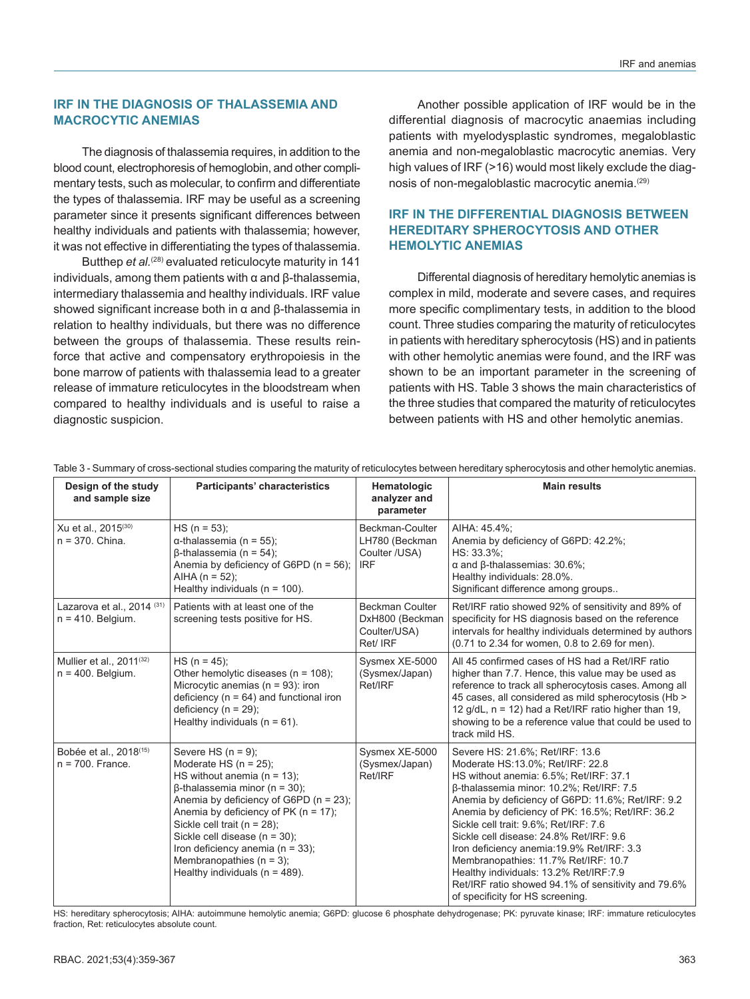### **IRF IN THE DIAGNOSIS OF THALASSEMIA AND MACROCYTIC ANEMIAS**

The diagnosis of thalassemia requires, in addition to the blood count, electrophoresis of hemoglobin, and other complimentary tests, such as molecular, to confirm and differentiate the types of thalassemia. IRF may be useful as a screening parameter since it presents significant differences between healthy individuals and patients with thalassemia; however, it was not effective in differentiating the types of thalassemia.

Butthep *et al.*(28) evaluated reticulocyte maturity in 141 individuals, among them patients with α and β-thalassemia, intermediary thalassemia and healthy individuals. IRF value showed significant increase both in α and β-thalassemia in relation to healthy individuals, but there was no difference between the groups of thalassemia. These results reinforce that active and compensatory erythropoiesis in the bone marrow of patients with thalassemia lead to a greater release of immature reticulocytes in the bloodstream when compared to healthy individuals and is useful to raise a diagnostic suspicion.

Another possible application of IRF would be in the differential diagnosis of macrocytic anaemias including patients with myelodysplastic syndromes, megaloblastic anemia and non-megaloblastic macrocytic anemias. Very high values of IRF (>16) would most likely exclude the diagnosis of non-megaloblastic macrocytic anemia.(29)

# **IRF IN THE DIFFERENTIAL DIAGNOSIS BETWEEN HEREDITARY SPHEROCYTOSIS AND OTHER HEMOLYTIC ANEMIAS**

Differental diagnosis of hereditary hemolytic anemias is complex in mild, moderate and severe cases, and requires more specific complimentary tests, in addition to the blood count. Three studies comparing the maturity of reticulocytes in patients with hereditary spherocytosis (HS) and in patients with other hemolytic anemias were found, and the IRF was shown to be an important parameter in the screening of patients with HS. Table 3 shows the main characteristics of the three studies that compared the maturity of reticulocytes between patients with HS and other hemolytic anemias.

| Design of the study<br>and sample size                       | Participants' characteristics                                                                                                                                                                                                                                                                                                                                                                            | Hematologic<br>analyzer and<br>parameter                              | <b>Main results</b>                                                                                                                                                                                                                                                                                                                                                                                                                                                                                                                                                               |
|--------------------------------------------------------------|----------------------------------------------------------------------------------------------------------------------------------------------------------------------------------------------------------------------------------------------------------------------------------------------------------------------------------------------------------------------------------------------------------|-----------------------------------------------------------------------|-----------------------------------------------------------------------------------------------------------------------------------------------------------------------------------------------------------------------------------------------------------------------------------------------------------------------------------------------------------------------------------------------------------------------------------------------------------------------------------------------------------------------------------------------------------------------------------|
| Xu et al., 2015 <sup>(30)</sup><br>$n = 370$ . China.        | $HS (n = 53);$<br>$\alpha$ -thalassemia (n = 55);<br>$\beta$ -thalassemia (n = 54);<br>Anemia by deficiency of G6PD (n = 56);<br>AIHA ( $n = 52$ );<br>Healthy individuals ( $n = 100$ ).                                                                                                                                                                                                                | Beckman-Coulter<br>LH780 (Beckman<br>Coulter /USA)<br><b>IRF</b>      | AIHA: 45.4%:<br>Anemia by deficiency of G6PD: 42.2%;<br>HS: 33.3%:<br>$\alpha$ and $\beta$ -thalassemias: 30.6%;<br>Healthy individuals: 28.0%.<br>Significant difference among groups                                                                                                                                                                                                                                                                                                                                                                                            |
| Lazarova et al., 2014 (31)<br>$n = 410$ . Belgium.           | Patients with at least one of the<br>screening tests positive for HS.                                                                                                                                                                                                                                                                                                                                    | <b>Beckman Coulter</b><br>DxH800 (Beckman<br>Coulter/USA)<br>Ret/ IRF | Ret/IRF ratio showed 92% of sensitivity and 89% of<br>specificity for HS diagnosis based on the reference<br>intervals for healthy individuals determined by authors<br>(0.71 to 2.34 for women, 0.8 to 2.69 for men).                                                                                                                                                                                                                                                                                                                                                            |
| Mullier et al., 2011 <sup>(32)</sup><br>$n = 400$ . Belgium. | $HS (n = 45);$<br>Other hemolytic diseases ( $n = 108$ );<br>Microcytic anemias ( $n = 93$ ): iron<br>deficiency ( $n = 64$ ) and functional iron<br>deficiency ( $n = 29$ );<br>Healthy individuals ( $n = 61$ ).                                                                                                                                                                                       | Sysmex XE-5000<br>(Sysmex/Japan)<br>Ret/IRF                           | All 45 confirmed cases of HS had a Ret/IRF ratio<br>higher than 7.7. Hence, this value may be used as<br>reference to track all spherocytosis cases. Among all<br>45 cases, all considered as mild spherocytosis (Hb ><br>12 $g/dL$ , $n = 12$ ) had a Ret/IRF ratio higher than 19,<br>showing to be a reference value that could be used to<br>track mild HS.                                                                                                                                                                                                                   |
| Bobée et al., 2018 <sup>(15)</sup><br>$n = 700$ . France.    | Severe HS $(n = 9)$ :<br>Moderate HS $(n = 25)$ ;<br>HS without anemia ( $n = 13$ );<br>$\beta$ -thalassemia minor (n = 30);<br>Anemia by deficiency of G6PD ( $n = 23$ );<br>Anemia by deficiency of PK ( $n = 17$ );<br>Sickle cell trait ( $n = 28$ );<br>Sickle cell disease (n = 30);<br>Iron deficiency anemia ( $n = 33$ );<br>Membranopathies ( $n = 3$ );<br>Healthy individuals ( $n = 489$ ). | Sysmex XE-5000<br>(Sysmex/Japan)<br>Ret/IRF                           | Severe HS: 21.6%; Ret/IRF: 13.6<br>Moderate HS:13.0%; Ret/IRF: 22.8<br>HS without anemia: 6.5%; Ret/IRF: 37.1<br>B-thalassemia minor: 10.2%; Ret/IRF: 7.5<br>Anemia by deficiency of G6PD: 11.6%; Ret/IRF: 9.2<br>Anemia by deficiency of PK: 16.5%; Ret/IRF: 36.2<br>Sickle cell trait: 9.6%; Ret/IRF: 7.6<br>Sickle cell disease: 24.8% Ret/IRF: 9.6<br>Iron deficiency anemia: 19.9% Ret/IRF: 3.3<br>Membranopathies: 11.7% Ret/IRF: 10.7<br>Healthy individuals: 13.2% Ret/IRF:7.9<br>Ret/IRF ratio showed 94.1% of sensitivity and 79.6%<br>of specificity for HS screening. |

Table 3 - Summary of cross-sectional studies comparing the maturity of reticulocytes between hereditary spherocytosis and other hemolytic anemias.

HS: hereditary spherocytosis; AIHA: autoimmune hemolytic anemia; G6PD: glucose 6 phosphate dehydrogenase; PK: pyruvate kinase; IRF: immature reticulocytes fraction, Ret: reticulocytes absolute count.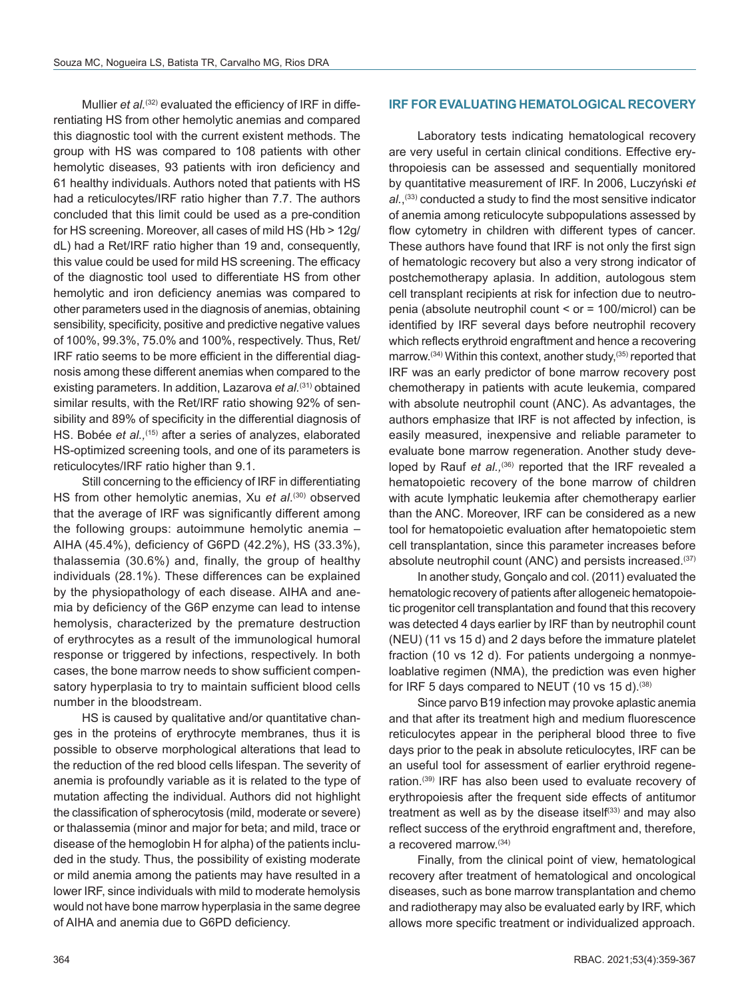Mullier *et al.*<sup>(32)</sup> evaluated the efficiency of IRF in differentiating HS from other hemolytic anemias and compared this diagnostic tool with the current existent methods. The group with HS was compared to 108 patients with other hemolytic diseases, 93 patients with iron deficiency and 61 healthy individuals. Authors noted that patients with HS had a reticulocytes/IRF ratio higher than 7.7. The authors concluded that this limit could be used as a pre-condition for HS screening. Moreover, all cases of mild HS (Hb > 12g/ dL) had a Ret/IRF ratio higher than 19 and, consequently, this value could be used for mild HS screening. The efficacy of the diagnostic tool used to differentiate HS from other hemolytic and iron deficiency anemias was compared to other parameters used in the diagnosis of anemias, obtaining sensibility, specificity, positive and predictive negative values of 100%, 99.3%, 75.0% and 100%, respectively. Thus, Ret/ IRF ratio seems to be more efficient in the differential diagnosis among these different anemias when compared to the existing parameters. In addition, Lazarova *et al.*(31) obtained similar results, with the Ret/IRF ratio showing 92% of sensibility and 89% of specificity in the differential diagnosis of HS. Bobée *et al.*,<sup>(15)</sup> after a series of analyzes, elaborated HS-optimized screening tools, and one of its parameters is reticulocytes/IRF ratio higher than 9.1.

Still concerning to the efficiency of IRF in differentiating HS from other hemolytic anemias, Xu et al.<sup>(30)</sup> observed that the average of IRF was significantly different among the following groups: autoimmune hemolytic anemia – AIHA (45.4%), deficiency of G6PD (42.2%), HS (33.3%), thalassemia (30.6%) and, finally, the group of healthy individuals (28.1%). These differences can be explained by the physiopathology of each disease. AIHA and anemia by deficiency of the G6P enzyme can lead to intense hemolysis, characterized by the premature destruction of erythrocytes as a result of the immunological humoral response or triggered by infections, respectively. In both cases, the bone marrow needs to show sufficient compensatory hyperplasia to try to maintain sufficient blood cells number in the bloodstream.

HS is caused by qualitative and/or quantitative changes in the proteins of erythrocyte membranes, thus it is possible to observe morphological alterations that lead to the reduction of the red blood cells lifespan. The severity of anemia is profoundly variable as it is related to the type of mutation affecting the individual. Authors did not highlight the classification of spherocytosis (mild, moderate or severe) or thalassemia (minor and major for beta; and mild, trace or disease of the hemoglobin H for alpha) of the patients included in the study. Thus, the possibility of existing moderate or mild anemia among the patients may have resulted in a lower IRF, since individuals with mild to moderate hemolysis would not have bone marrow hyperplasia in the same degree of AIHA and anemia due to G6PD deficiency.

### **IRF FOR EVALUATING HEMATOLOGICAL RECOVERY**

Laboratory tests indicating hematological recovery are very useful in certain clinical conditions. Effective erythropoiesis can be assessed and sequentially monitored by quantitative measurement of IRF. In 2006, Luczyński *et al.*, (33) conducted a study to find the most sensitive indicator of anemia among reticulocyte subpopulations assessed by flow cytometry in children with different types of cancer. These authors have found that IRF is not only the first sign of hematologic recovery but also a very strong indicator of postchemotherapy aplasia. In addition, autologous stem cell transplant recipients at risk for infection due to neutropenia (absolute neutrophil count < or = 100/microl) can be identified by IRF several days before neutrophil recovery which reflects erythroid engraftment and hence a recovering marrow.<sup>(34)</sup> Within this context, another study.<sup>(35)</sup> reported that IRF was an early predictor of bone marrow recovery post chemotherapy in patients with acute leukemia, compared with absolute neutrophil count (ANC). As advantages, the authors emphasize that IRF is not affected by infection, is easily measured, inexpensive and reliable parameter to evaluate bone marrow regeneration. Another study developed by Rauf *et al.*,<sup>(36)</sup> reported that the IRF revealed a hematopoietic recovery of the bone marrow of children with acute lymphatic leukemia after chemotherapy earlier than the ANC. Moreover, IRF can be considered as a new tool for hematopoietic evaluation after hematopoietic stem cell transplantation, since this parameter increases before absolute neutrophil count (ANC) and persists increased.<sup>(37)</sup>

In another study, Gonçalo and col. (2011) evaluated the hematologic recovery of patients after allogeneic hematopoietic progenitor cell transplantation and found that this recovery was detected 4 days earlier by IRF than by neutrophil count (NEU) (11 vs 15 d) and 2 days before the immature platelet fraction (10 vs 12 d). For patients undergoing a nonmyeloablative regimen (NMA), the prediction was even higher for IRF 5 days compared to NEUT (10 vs 15 d).<sup>(38)</sup>

Since parvo B19 infection may provoke aplastic anemia and that after its treatment high and medium fluorescence reticulocytes appear in the peripheral blood three to five days prior to the peak in absolute reticulocytes, IRF can be an useful tool for assessment of earlier erythroid regeneration.(39) IRF has also been used to evaluate recovery of erythropoiesis after the frequent side effects of antitumor treatment as well as by the disease itself $(33)$  and may also reflect success of the erythroid engraftment and, therefore, a recovered marrow.(34)

Finally, from the clinical point of view, hematological recovery after treatment of hematological and oncological diseases, such as bone marrow transplantation and chemo and radiotherapy may also be evaluated early by IRF, which allows more specific treatment or individualized approach.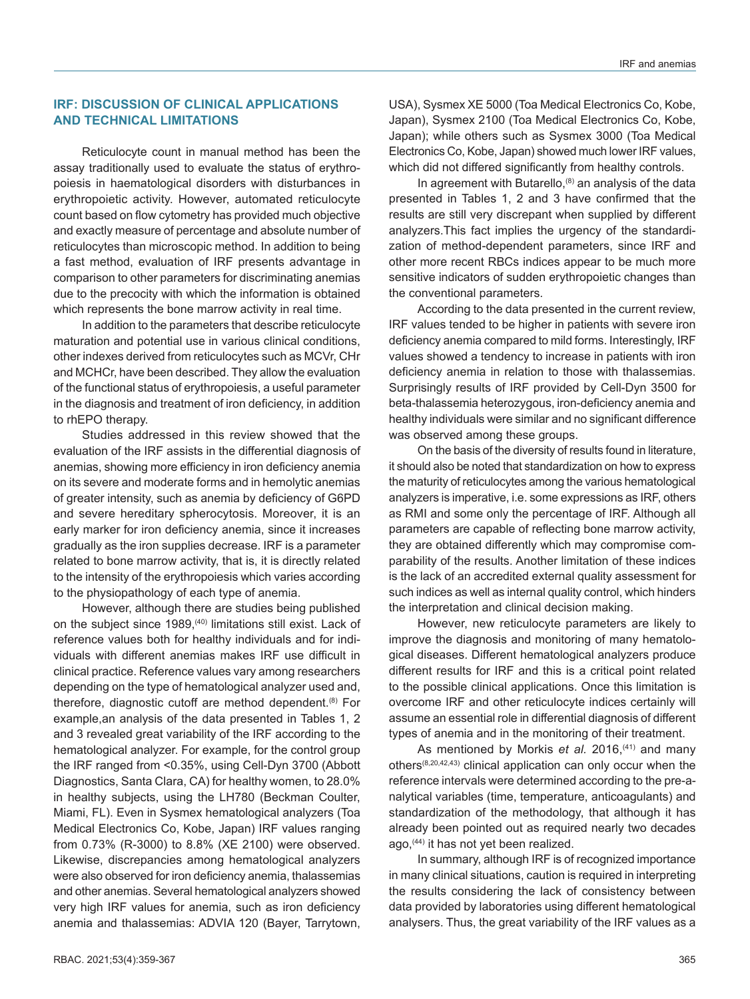### **IRF: DISCUSSION OF CLINICAL APPLICATIONS AND TECHNICAL LIMITATIONS**

Reticulocyte count in manual method has been the assay traditionally used to evaluate the status of erythropoiesis in haematological disorders with disturbances in erythropoietic activity. However, automated reticulocyte count based on flow cytometry has provided much objective and exactly measure of percentage and absolute number of reticulocytes than microscopic method. In addition to being a fast method, evaluation of IRF presents advantage in comparison to other parameters for discriminating anemias due to the precocity with which the information is obtained which represents the bone marrow activity in real time.

In addition to the parameters that describe reticulocyte maturation and potential use in various clinical conditions, other indexes derived from reticulocytes such as MCVr, CHr and MCHCr, have been described. They allow the evaluation of the functional status of erythropoiesis, a useful parameter in the diagnosis and treatment of iron deficiency, in addition to rhEPO therapy.

Studies addressed in this review showed that the evaluation of the IRF assists in the differential diagnosis of anemias, showing more efficiency in iron deficiency anemia on its severe and moderate forms and in hemolytic anemias of greater intensity, such as anemia by deficiency of G6PD and severe hereditary spherocytosis. Moreover, it is an early marker for iron deficiency anemia, since it increases gradually as the iron supplies decrease. IRF is a parameter related to bone marrow activity, that is, it is directly related to the intensity of the erythropoiesis which varies according to the physiopathology of each type of anemia.

However, although there are studies being published on the subject since 1989,<sup>(40)</sup> limitations still exist. Lack of reference values both for healthy individuals and for individuals with different anemias makes IRF use difficult in clinical practice. Reference values vary among researchers depending on the type of hematological analyzer used and, therefore, diagnostic cutoff are method dependent.<sup>(8)</sup> For example,an analysis of the data presented in Tables 1, 2 and 3 revealed great variability of the IRF according to the hematological analyzer. For example, for the control group the IRF ranged from <0.35%, using Cell-Dyn 3700 (Abbott Diagnostics, Santa Clara, CA) for healthy women, to 28.0% in healthy subjects, using the LH780 (Beckman Coulter, Miami, FL). Even in Sysmex hematological analyzers (Toa Medical Electronics Co, Kobe, Japan) IRF values ranging from 0.73% (R-3000) to 8.8% (XE 2100) were observed. Likewise, discrepancies among hematological analyzers were also observed for iron deficiency anemia, thalassemias and other anemias. Several hematological analyzers showed very high IRF values for anemia, such as iron deficiency anemia and thalassemias: ADVIA 120 (Bayer, Tarrytown,

USA), Sysmex XE 5000 (Toa Medical Electronics Co, Kobe, Japan), Sysmex 2100 (Toa Medical Electronics Co, Kobe, Japan); while others such as Sysmex 3000 (Toa Medical Electronics Co, Kobe, Japan) showed much lower IRF values, which did not differed significantly from healthy controls.

In agreement with Butarello, $(8)$  an analysis of the data presented in Tables 1, 2 and 3 have confirmed that the results are still very discrepant when supplied by different analyzers.This fact implies the urgency of the standardization of method-dependent parameters, since IRF and other more recent RBCs indices appear to be much more sensitive indicators of sudden erythropoietic changes than the conventional parameters.

According to the data presented in the current review, IRF values tended to be higher in patients with severe iron deficiency anemia compared to mild forms. Interestingly, IRF values showed a tendency to increase in patients with iron deficiency anemia in relation to those with thalassemias. Surprisingly results of IRF provided by Cell-Dyn 3500 for beta-thalassemia heterozygous, iron-deficiency anemia and healthy individuals were similar and no significant difference was observed among these groups.

On the basis of the diversity of results found in literature, it should also be noted that standardization on how to express the maturity of reticulocytes among the various hematological analyzers is imperative, i.e. some expressions as IRF, others as RMI and some only the percentage of IRF. Although all parameters are capable of reflecting bone marrow activity, they are obtained differently which may compromise comparability of the results. Another limitation of these indices is the lack of an accredited external quality assessment for such indices as well as internal quality control, which hinders the interpretation and clinical decision making.

However, new reticulocyte parameters are likely to improve the diagnosis and monitoring of many hematological diseases. Different hematological analyzers produce different results for IRF and this is a critical point related to the possible clinical applications. Once this limitation is overcome IRF and other reticulocyte indices certainly will assume an essential role in differential diagnosis of different types of anemia and in the monitoring of their treatment.

As mentioned by Morkis *et al.* 2016,<sup>(41)</sup> and many others(8,20,42,43) clinical application can only occur when the reference intervals were determined according to the pre-analytical variables (time, temperature, anticoagulants) and standardization of the methodology, that although it has already been pointed out as required nearly two decades ago,(44) it has not yet been realized.

In summary, although IRF is of recognized importance in many clinical situations, caution is required in interpreting the results considering the lack of consistency between data provided by laboratories using different hematological analysers. Thus, the great variability of the IRF values as a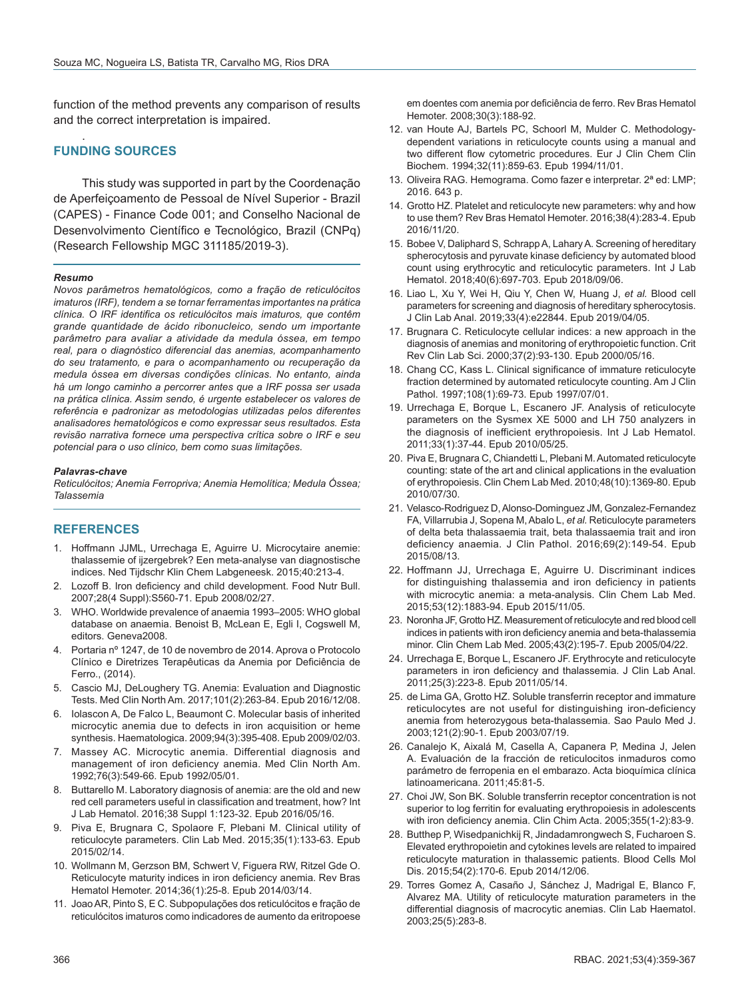function of the method prevents any comparison of results and the correct interpretation is impaired.

#### . **FUNDING SOURCES**

This study was supported in part by the Coordenação de Aperfeiçoamento de Pessoal de Nível Superior - Brazil (CAPES) - Finance Code 001; and Conselho Nacional de Desenvolvimento Científico e Tecnológico, Brazil (CNPq) (Research Fellowship MGC 311185/2019-3).

#### *Resumo*

*Novos parâmetros hematológicos, como a fração de reticulócitos imaturos (IRF), tendem a se tornar ferramentas importantes na prática clínica. O IRF identifica os reticulócitos mais imaturos, que contêm grande quantidade de ácido ribonucleico, sendo um importante parâmetro para avaliar a atividade da medula óssea, em tempo real, para o diagnóstico diferencial das anemias, acompanhamento do seu tratamento, e para o acompanhamento ou recuperação da medula óssea em diversas condições clínicas. No entanto, ainda há um longo caminho a percorrer antes que a IRF possa ser usada na prática clínica. Assim sendo, é urgente estabelecer os valores de referência e padronizar as metodologias utilizadas pelos diferentes analisadores hematológicos e como expressar seus resultados. Esta revisão narrativa fornece uma perspectiva crítica sobre o IRF e seu potencial para o uso clínico, bem como suas limitações.*

#### *Palavras-chave*

*Reticulócitos; Anemia Ferropriva; Anemia Hemolítica; Medula Óssea; Talassemia*

# **REFERENCES**

- 1. Hoffmann JJML, Urrechaga E, Aguirre U. Microcytaire anemie: thalassemie of ijzergebrek? Een meta-analyse van diagnostische indices. Ned Tijdschr Klin Chem Labgeneesk. 2015;40:213-4.
- 2. Lozoff B. Iron deficiency and child development. Food Nutr Bull. 2007;28(4 Suppl):S560-71. Epub 2008/02/27.
- 3. WHO. Worldwide prevalence of anaemia 1993–2005: WHO global database on anaemia. Benoist B, McLean E, Egli I, Cogswell M, editors. Geneva2008.
- 4. Portaria nº 1247, de 10 de novembro de 2014. Aprova o Protocolo Clínico e Diretrizes Terapêuticas da Anemia por Deficiência de Ferro., (2014).
- 5. Cascio MJ, DeLoughery TG. Anemia: Evaluation and Diagnostic Tests. Med Clin North Am. 2017;101(2):263-84. Epub 2016/12/08.
- 6. Iolascon A, De Falco L, Beaumont C. Molecular basis of inherited microcytic anemia due to defects in iron acquisition or heme synthesis. Haematologica. 2009;94(3):395-408. Epub 2009/02/03.
- 7. Massey AC. Microcytic anemia. Differential diagnosis and management of iron deficiency anemia. Med Clin North Am. 1992;76(3):549-66. Epub 1992/05/01.
- 8. Buttarello M. Laboratory diagnosis of anemia: are the old and new red cell parameters useful in classification and treatment, how? Int J Lab Hematol. 2016;38 Suppl 1:123-32. Epub 2016/05/16.
- 9. Piva E, Brugnara C, Spolaore F, Plebani M. Clinical utility of reticulocyte parameters. Clin Lab Med. 2015;35(1):133-63. Epub 2015/02/14.
- 10. Wollmann M, Gerzson BM, Schwert V, Figuera RW, Ritzel Gde O. Reticulocyte maturity indices in iron deficiency anemia. Rev Bras Hematol Hemoter. 2014;36(1):25-8. Epub 2014/03/14.
- 11. Joao AR, Pinto S, E C. Subpopulações dos reticulócitos e fração de reticulócitos imaturos como indicadores de aumento da eritropoese

em doentes com anemia por deficiência de ferro. Rev Bras Hematol Hemoter. 2008;30(3):188-92.

- 12. van Houte AJ, Bartels PC, Schoorl M, Mulder C. Methodologydependent variations in reticulocyte counts using a manual and two different flow cytometric procedures. Eur J Clin Chem Clin Biochem. 1994;32(11):859-63. Epub 1994/11/01.
- 13. Oliveira RAG. Hemograma. Como fazer e interpretar. 2ª ed: LMP; 2016. 643 p.
- 14. Grotto HZ. Platelet and reticulocyte new parameters: why and how to use them? Rev Bras Hematol Hemoter. 2016;38(4):283-4. Epub 2016/11/20.
- 15. Bobee V, Daliphard S, Schrapp A, Lahary A. Screening of hereditary spherocytosis and pyruvate kinase deficiency by automated blood count using erythrocytic and reticulocytic parameters. Int J Lab Hematol. 2018;40(6):697-703. Epub 2018/09/06.
- 16. Liao L, Xu Y, Wei H, Qiu Y, Chen W, Huang J, *et al.* Blood cell parameters for screening and diagnosis of hereditary spherocytosis. J Clin Lab Anal. 2019;33(4):e22844. Epub 2019/04/05.
- 17. Brugnara C. Reticulocyte cellular indices: a new approach in the diagnosis of anemias and monitoring of erythropoietic function. Crit Rev Clin Lab Sci. 2000;37(2):93-130. Epub 2000/05/16.
- 18. Chang CC, Kass L. Clinical significance of immature reticulocyte fraction determined by automated reticulocyte counting. Am J Clin Pathol. 1997;108(1):69-73. Epub 1997/07/01.
- 19. Urrechaga E, Borque L, Escanero JF. Analysis of reticulocyte parameters on the Sysmex XE 5000 and LH 750 analyzers in the diagnosis of inefficient erythropoiesis. Int J Lab Hematol. 2011;33(1):37-44. Epub 2010/05/25.
- 20. Piva E, Brugnara C, Chiandetti L, Plebani M. Automated reticulocyte counting: state of the art and clinical applications in the evaluation of erythropoiesis. Clin Chem Lab Med. 2010;48(10):1369-80. Epub 2010/07/30.
- 21. Velasco-Rodriguez D, Alonso-Dominguez JM, Gonzalez-Fernandez FA, Villarrubia J, Sopena M, Abalo L, *et al.* Reticulocyte parameters of delta beta thalassaemia trait, beta thalassaemia trait and iron deficiency anaemia. J Clin Pathol. 2016;69(2):149-54. Epub 2015/08/13.
- 22. Hoffmann JJ, Urrechaga E, Aguirre U. Discriminant indices for distinguishing thalassemia and iron deficiency in patients with microcytic anemia: a meta-analysis. Clin Chem Lab Med. 2015;53(12):1883-94. Epub 2015/11/05.
- 23. Noronha JF, Grotto HZ. Measurement of reticulocyte and red blood cell indices in patients with iron deficiency anemia and beta-thalassemia minor. Clin Chem Lab Med. 2005;43(2):195-7. Epub 2005/04/22.
- 24. Urrechaga E, Borque L, Escanero JF. Erythrocyte and reticulocyte parameters in iron deficiency and thalassemia. J Clin Lab Anal. 2011;25(3):223-8. Epub 2011/05/14.
- 25. de Lima GA, Grotto HZ. Soluble transferrin receptor and immature reticulocytes are not useful for distinguishing iron-deficiency anemia from heterozygous beta-thalassemia. Sao Paulo Med J. 2003;121(2):90-1. Epub 2003/07/19.
- 26. Canalejo K, Aixalá M, Casella A, Capanera P, Medina J, Jelen A. Evaluación de la fracción de reticulocitos inmaduros como parámetro de ferropenia en el embarazo. Acta bioquímica clínica latinoamericana. 2011;45:81-5.
- 27. Choi JW, Son BK. Soluble transferrin receptor concentration is not superior to log ferritin for evaluating erythropoiesis in adolescents with iron deficiency anemia. Clin Chim Acta. 2005;355(1-2):83-9.
- 28. Butthep P, Wisedpanichkij R, Jindadamrongwech S, Fucharoen S. Elevated erythropoietin and cytokines levels are related to impaired reticulocyte maturation in thalassemic patients. Blood Cells Mol Dis. 2015;54(2):170-6. Epub 2014/12/06.
- 29. Torres Gomez A, Casaño J, Sánchez J, Madrigal E, Blanco F, Alvarez MA. Utility of reticulocyte maturation parameters in the differential diagnosis of macrocytic anemias. Clin Lab Haematol. 2003;25(5):283-8.